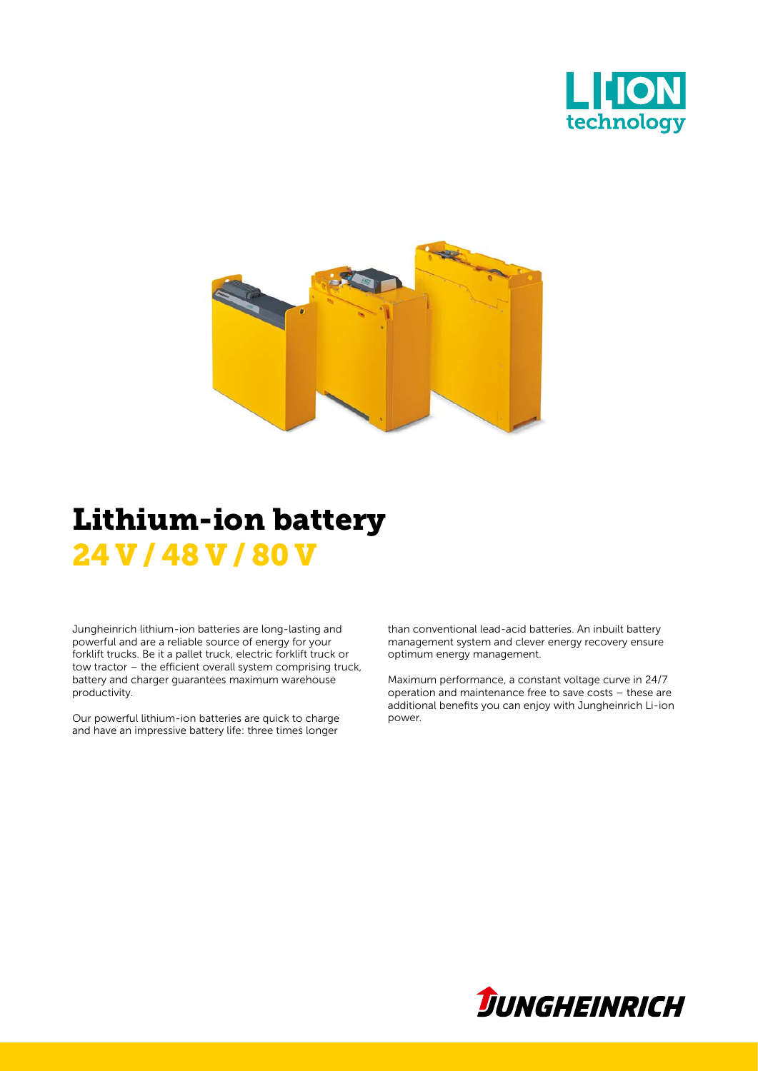



## Lithium-ion battery 24 V / 48 V / 80 V

Jungheinrich lithium-ion batteries are long-lasting and powerful and are a reliable source of energy for your forklift trucks. Be it a pallet truck, electric forklift truck or tow tractor – the efficient overall system comprising truck, battery and charger guarantees maximum warehouse productivity.

Our powerful lithium-ion batteries are quick to charge and have an impressive battery life: three times longer

than conventional lead-acid batteries. An inbuilt battery management system and clever energy recovery ensure optimum energy management.

Maximum performance, a constant voltage curve in 24/7 operation and maintenance free to save costs – these are additional benefits you can enjoy with Jungheinrich Li-ion power.

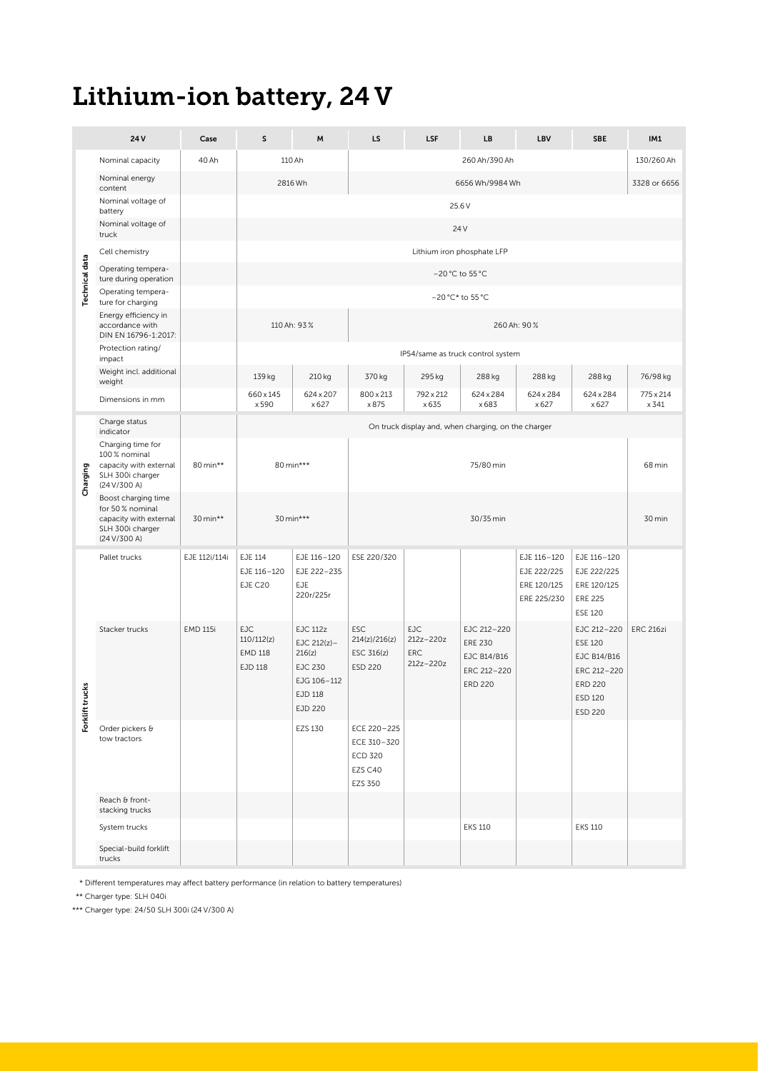## Lithium-ion battery, 24 V

|                   | 24 V                                                                                                 | Case            | S                                              | M                                                                                                  | LS                                                                 | <b>LSF</b>                             | LB.                                                                           | LBV                                                      | SBE                                                                                                                         | IM1                   |
|-------------------|------------------------------------------------------------------------------------------------------|-----------------|------------------------------------------------|----------------------------------------------------------------------------------------------------|--------------------------------------------------------------------|----------------------------------------|-------------------------------------------------------------------------------|----------------------------------------------------------|-----------------------------------------------------------------------------------------------------------------------------|-----------------------|
|                   | Nominal capacity                                                                                     | 40 Ah           |                                                | 110 Ah                                                                                             |                                                                    |                                        | 260 Ah/390 Ah                                                                 |                                                          |                                                                                                                             | 130/260 Ah            |
|                   | Nominal energy<br>content                                                                            |                 | 2816 Wh                                        |                                                                                                    |                                                                    |                                        | 6656 Wh/9984 Wh                                                               |                                                          |                                                                                                                             | 3328 or 6656          |
|                   | Nominal voltage of<br>battery                                                                        |                 |                                                |                                                                                                    |                                                                    |                                        | 25.6 V                                                                        |                                                          |                                                                                                                             |                       |
|                   | Nominal voltage of<br>truck                                                                          |                 |                                                |                                                                                                    |                                                                    |                                        | 24 V                                                                          |                                                          |                                                                                                                             |                       |
|                   | Cell chemistry                                                                                       |                 |                                                |                                                                                                    |                                                                    |                                        | Lithium iron phosphate LFP                                                    |                                                          |                                                                                                                             |                       |
| $\ddot{a}$        | Operating tempera-<br>ture during operation                                                          |                 |                                                |                                                                                                    |                                                                    |                                        | −20 °C to 55 °C                                                               |                                                          |                                                                                                                             |                       |
| ڡ                 | Operating tempera-<br>ture for charging                                                              |                 |                                                |                                                                                                    |                                                                    |                                        | -20 °C* to 55 °C                                                              |                                                          |                                                                                                                             |                       |
|                   | Energy efficiency in<br>accordance with                                                              |                 | 110 Ah: 93%<br>260 Ah: 90%                     |                                                                                                    |                                                                    |                                        |                                                                               |                                                          |                                                                                                                             |                       |
|                   | DIN EN 16796-1:2017:<br>Protection rating/                                                           |                 |                                                |                                                                                                    |                                                                    |                                        |                                                                               |                                                          |                                                                                                                             |                       |
|                   | impact<br>Weight incl. additional                                                                    |                 |                                                |                                                                                                    |                                                                    |                                        | IP54/same as truck control system                                             |                                                          |                                                                                                                             |                       |
|                   | weight                                                                                               |                 | 139 kg<br>660 x 145                            | 210 kg<br>624 x 207                                                                                | 370 kg<br>800 x 213                                                | 295 kg<br>792 x 212                    | 288 kg<br>624 x 284                                                           | 288 kg<br>624 x 284                                      | 288 kg<br>624 x 284                                                                                                         | 76/98 kg<br>775 x 214 |
|                   | Dimensions in mm                                                                                     |                 | x 590                                          | x 627                                                                                              | x 875                                                              | x 635                                  | x 683                                                                         | x 627                                                    | x 627                                                                                                                       | x 341                 |
|                   | Charge status<br>indicator                                                                           |                 |                                                |                                                                                                    |                                                                    |                                        | On truck display and, when charging, on the charger                           |                                                          |                                                                                                                             |                       |
| פ<br>Chargi       | Charging time for<br>100% nominal<br>capacity with external<br>SLH 300i charger<br>(24 V/300 A)      | 80 min**        | 80 min***                                      |                                                                                                    |                                                                    | 75/80 min                              |                                                                               |                                                          |                                                                                                                             | 68 min                |
|                   | Boost charging time<br>for 50% nominal<br>capacity with external<br>SLH 300i charger<br>(24 V/300 A) | 30 min**        |                                                | 30 min***                                                                                          |                                                                    |                                        | 30/35 min                                                                     |                                                          |                                                                                                                             | 30 min                |
|                   | Pallet trucks                                                                                        | EJE 112i/114i   | EJE 114<br>EJE 116-120<br>EJE C20              | EJE 116-120<br>EJE 222-235<br>EJE<br>220r/225r                                                     | ESE 220/320                                                        |                                        |                                                                               | EJE 116-120<br>EJE 222/225<br>ERE 120/125<br>ERE 225/230 | EJE 116-120<br>EJE 222/225<br>ERE 120/125<br><b>ERE 225</b><br><b>ESE 120</b>                                               |                       |
| ċ<br>Forklift tru | Stacker trucks                                                                                       | <b>EMD 115i</b> | EJC<br>110/112(z)<br><b>EMD 118</b><br>EJD 118 | <b>EJC 112z</b><br>EJC $212(z)$ -<br>216(z)<br><b>EJC 230</b><br>EJG 106-112<br>EJD 118<br>EJD 220 | ESC<br>214(z)/216(z)<br>ESC 316(z)<br><b>ESD 220</b>               | EJC<br>212z-220z<br>ERC<br>$212z-220z$ | EJC 212-220<br><b>ERE 230</b><br>EJC B14/B16<br>ERC 212-220<br><b>ERD 220</b> |                                                          | EJC 212-220 ERC 216zi<br><b>ESE 120</b><br><b>EJC B14/B16</b><br>ERC 212-220<br><b>ERD 220</b><br>ESD 120<br><b>ESD 220</b> |                       |
|                   | Order pickers &<br>tow tractors                                                                      |                 |                                                | EZS 130                                                                                            | ECE 220-225<br>ECE 310-320<br><b>ECD 320</b><br>EZS C40<br>EZS 350 |                                        |                                                                               |                                                          |                                                                                                                             |                       |
|                   | Reach & front-<br>stacking trucks                                                                    |                 |                                                |                                                                                                    |                                                                    |                                        |                                                                               |                                                          |                                                                                                                             |                       |
|                   | System trucks                                                                                        |                 |                                                |                                                                                                    |                                                                    |                                        | EKS 110                                                                       |                                                          | <b>EKS 110</b>                                                                                                              |                       |
|                   | Special-build forklift<br>trucks                                                                     |                 |                                                |                                                                                                    |                                                                    |                                        |                                                                               |                                                          |                                                                                                                             |                       |

\* Different temperatures may affect battery performance (in relation to battery temperatures)

\*\* Charger type: SLH 040i

\*\*\* Charger type: 24 / 50 SLH 300i (24 V / 300 A)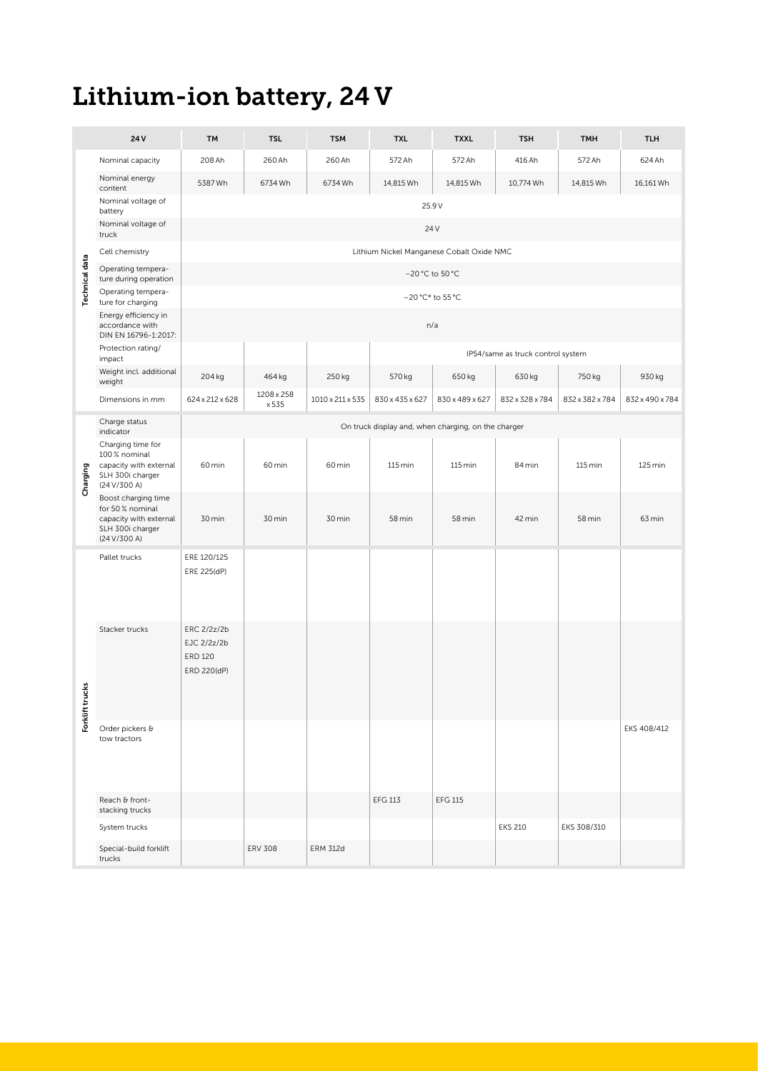# Lithium-ion battery, 24 V

| 260 Ah<br>572 Ah<br>572 Ah<br>416 Ah<br>624 Ah<br>208 Ah<br>260 Ah<br>572 Ah<br>Nominal capacity<br>Nominal energy<br>5387Wh<br>6734 Wh<br>6734 Wh<br>10,774 Wh<br>16,161 Wh<br>14,815 Wh<br>14,815 Wh<br>14,815 Wh<br>content<br>Nominal voltage of<br>25.9 V<br>battery<br>Nominal voltage of<br>24 V<br>truck<br>Lithium Nickel Manganese Cobalt Oxide NMC<br>Cell chemistry<br>쿙<br>Operating tempera-<br>-20 °C to 50 °C<br>ture during operation<br>Operating tempera-<br>$-20\,^{\circ}\text{C}^{\star}$ to 55 $^{\circ}\text{C}$<br>ture for charging<br>டீ<br>Energy efficiency in<br>n/a<br>accordance with<br>DIN EN 16796-1:2017:<br>Protection rating/<br>IP54/same as truck control system<br>impact<br>Weight incl. additional<br>204 kg<br>464 kg<br>570 kg<br>650 kg<br>930 kg<br>250 kg<br>630 kg<br>750 kg<br>weight<br>1208 x 258<br>624 x 212 x 628<br>$1010 \times 211 \times 535$ 830 x 435 x 627 830 x 489 x 627 832 x 328 x 784 832 x 382 x 784 832 x 490 x 784<br>Dimensions in mm<br>x 535<br>Charge status<br>On truck display and, when charging, on the charger<br>indicator<br>Charging time for<br>100 % nominal<br>60 min<br>60 min<br>60 min<br>$115$ min<br>$115 \text{ min}$<br>84 min<br>$115$ min<br>125 min<br>$\frac{1}{2}$ capacity with external<br>$\frac{1}{2}$ SLH 300i charger<br>(24 V/300 A)<br>Ō<br>Boost charging time<br>for 50% nominal<br>capacity with external<br>30 min<br>30 min<br>58 min<br>58 min<br>42 min<br>58 min<br>63 min<br>30 min<br>SLH 300i charger<br>(24 V/300 A)<br>ERE 120/125<br>Pallet trucks<br>ERE 225(dP)<br>ERC 2/2z/2b<br>Stacker trucks<br>EJC 2/2z/2b<br><b>ERD 120</b><br>ERD 220(dP)<br>뽆<br>æ<br>Forklift<br>EKS 408/412<br>Order pickers &<br>tow tractors<br>Reach & front-<br><b>EFG 115</b><br><b>EFG 113</b><br>stacking trucks<br>EKS 308/310<br><b>EKS 210</b><br>System trucks<br>Special-build forklift<br><b>ERV 308</b><br><b>ERM 312d</b> | 24 V | <b>TM</b> | <b>TSL</b> | <b>TSM</b> | <b>TXL</b> | <b>TXXL</b> | <b>TSH</b> | <b>TMH</b> | <b>TLH</b> |  |
|---------------------------------------------------------------------------------------------------------------------------------------------------------------------------------------------------------------------------------------------------------------------------------------------------------------------------------------------------------------------------------------------------------------------------------------------------------------------------------------------------------------------------------------------------------------------------------------------------------------------------------------------------------------------------------------------------------------------------------------------------------------------------------------------------------------------------------------------------------------------------------------------------------------------------------------------------------------------------------------------------------------------------------------------------------------------------------------------------------------------------------------------------------------------------------------------------------------------------------------------------------------------------------------------------------------------------------------------------------------------------------------------------------------------------------------------------------------------------------------------------------------------------------------------------------------------------------------------------------------------------------------------------------------------------------------------------------------------------------------------------------------------------------------------------------------------------------------------------------------------------------------------------------------------------------------------|------|-----------|------------|------------|------------|-------------|------------|------------|------------|--|
|                                                                                                                                                                                                                                                                                                                                                                                                                                                                                                                                                                                                                                                                                                                                                                                                                                                                                                                                                                                                                                                                                                                                                                                                                                                                                                                                                                                                                                                                                                                                                                                                                                                                                                                                                                                                                                                                                                                                             |      |           |            |            |            |             |            |            |            |  |
|                                                                                                                                                                                                                                                                                                                                                                                                                                                                                                                                                                                                                                                                                                                                                                                                                                                                                                                                                                                                                                                                                                                                                                                                                                                                                                                                                                                                                                                                                                                                                                                                                                                                                                                                                                                                                                                                                                                                             |      |           |            |            |            |             |            |            |            |  |
|                                                                                                                                                                                                                                                                                                                                                                                                                                                                                                                                                                                                                                                                                                                                                                                                                                                                                                                                                                                                                                                                                                                                                                                                                                                                                                                                                                                                                                                                                                                                                                                                                                                                                                                                                                                                                                                                                                                                             |      |           |            |            |            |             |            |            |            |  |
|                                                                                                                                                                                                                                                                                                                                                                                                                                                                                                                                                                                                                                                                                                                                                                                                                                                                                                                                                                                                                                                                                                                                                                                                                                                                                                                                                                                                                                                                                                                                                                                                                                                                                                                                                                                                                                                                                                                                             |      |           |            |            |            |             |            |            |            |  |
|                                                                                                                                                                                                                                                                                                                                                                                                                                                                                                                                                                                                                                                                                                                                                                                                                                                                                                                                                                                                                                                                                                                                                                                                                                                                                                                                                                                                                                                                                                                                                                                                                                                                                                                                                                                                                                                                                                                                             |      |           |            |            |            |             |            |            |            |  |
|                                                                                                                                                                                                                                                                                                                                                                                                                                                                                                                                                                                                                                                                                                                                                                                                                                                                                                                                                                                                                                                                                                                                                                                                                                                                                                                                                                                                                                                                                                                                                                                                                                                                                                                                                                                                                                                                                                                                             |      |           |            |            |            |             |            |            |            |  |
|                                                                                                                                                                                                                                                                                                                                                                                                                                                                                                                                                                                                                                                                                                                                                                                                                                                                                                                                                                                                                                                                                                                                                                                                                                                                                                                                                                                                                                                                                                                                                                                                                                                                                                                                                                                                                                                                                                                                             |      |           |            |            |            |             |            |            |            |  |
|                                                                                                                                                                                                                                                                                                                                                                                                                                                                                                                                                                                                                                                                                                                                                                                                                                                                                                                                                                                                                                                                                                                                                                                                                                                                                                                                                                                                                                                                                                                                                                                                                                                                                                                                                                                                                                                                                                                                             |      |           |            |            |            |             |            |            |            |  |
|                                                                                                                                                                                                                                                                                                                                                                                                                                                                                                                                                                                                                                                                                                                                                                                                                                                                                                                                                                                                                                                                                                                                                                                                                                                                                                                                                                                                                                                                                                                                                                                                                                                                                                                                                                                                                                                                                                                                             |      |           |            |            |            |             |            |            |            |  |
|                                                                                                                                                                                                                                                                                                                                                                                                                                                                                                                                                                                                                                                                                                                                                                                                                                                                                                                                                                                                                                                                                                                                                                                                                                                                                                                                                                                                                                                                                                                                                                                                                                                                                                                                                                                                                                                                                                                                             |      |           |            |            |            |             |            |            |            |  |
|                                                                                                                                                                                                                                                                                                                                                                                                                                                                                                                                                                                                                                                                                                                                                                                                                                                                                                                                                                                                                                                                                                                                                                                                                                                                                                                                                                                                                                                                                                                                                                                                                                                                                                                                                                                                                                                                                                                                             |      |           |            |            |            |             |            |            |            |  |
|                                                                                                                                                                                                                                                                                                                                                                                                                                                                                                                                                                                                                                                                                                                                                                                                                                                                                                                                                                                                                                                                                                                                                                                                                                                                                                                                                                                                                                                                                                                                                                                                                                                                                                                                                                                                                                                                                                                                             |      |           |            |            |            |             |            |            |            |  |
|                                                                                                                                                                                                                                                                                                                                                                                                                                                                                                                                                                                                                                                                                                                                                                                                                                                                                                                                                                                                                                                                                                                                                                                                                                                                                                                                                                                                                                                                                                                                                                                                                                                                                                                                                                                                                                                                                                                                             |      |           |            |            |            |             |            |            |            |  |
|                                                                                                                                                                                                                                                                                                                                                                                                                                                                                                                                                                                                                                                                                                                                                                                                                                                                                                                                                                                                                                                                                                                                                                                                                                                                                                                                                                                                                                                                                                                                                                                                                                                                                                                                                                                                                                                                                                                                             |      |           |            |            |            |             |            |            |            |  |
|                                                                                                                                                                                                                                                                                                                                                                                                                                                                                                                                                                                                                                                                                                                                                                                                                                                                                                                                                                                                                                                                                                                                                                                                                                                                                                                                                                                                                                                                                                                                                                                                                                                                                                                                                                                                                                                                                                                                             |      |           |            |            |            |             |            |            |            |  |
|                                                                                                                                                                                                                                                                                                                                                                                                                                                                                                                                                                                                                                                                                                                                                                                                                                                                                                                                                                                                                                                                                                                                                                                                                                                                                                                                                                                                                                                                                                                                                                                                                                                                                                                                                                                                                                                                                                                                             |      |           |            |            |            |             |            |            |            |  |
|                                                                                                                                                                                                                                                                                                                                                                                                                                                                                                                                                                                                                                                                                                                                                                                                                                                                                                                                                                                                                                                                                                                                                                                                                                                                                                                                                                                                                                                                                                                                                                                                                                                                                                                                                                                                                                                                                                                                             |      |           |            |            |            |             |            |            |            |  |
|                                                                                                                                                                                                                                                                                                                                                                                                                                                                                                                                                                                                                                                                                                                                                                                                                                                                                                                                                                                                                                                                                                                                                                                                                                                                                                                                                                                                                                                                                                                                                                                                                                                                                                                                                                                                                                                                                                                                             |      |           |            |            |            |             |            |            |            |  |
|                                                                                                                                                                                                                                                                                                                                                                                                                                                                                                                                                                                                                                                                                                                                                                                                                                                                                                                                                                                                                                                                                                                                                                                                                                                                                                                                                                                                                                                                                                                                                                                                                                                                                                                                                                                                                                                                                                                                             |      |           |            |            |            |             |            |            |            |  |
| trucks                                                                                                                                                                                                                                                                                                                                                                                                                                                                                                                                                                                                                                                                                                                                                                                                                                                                                                                                                                                                                                                                                                                                                                                                                                                                                                                                                                                                                                                                                                                                                                                                                                                                                                                                                                                                                                                                                                                                      |      |           |            |            |            |             |            |            |            |  |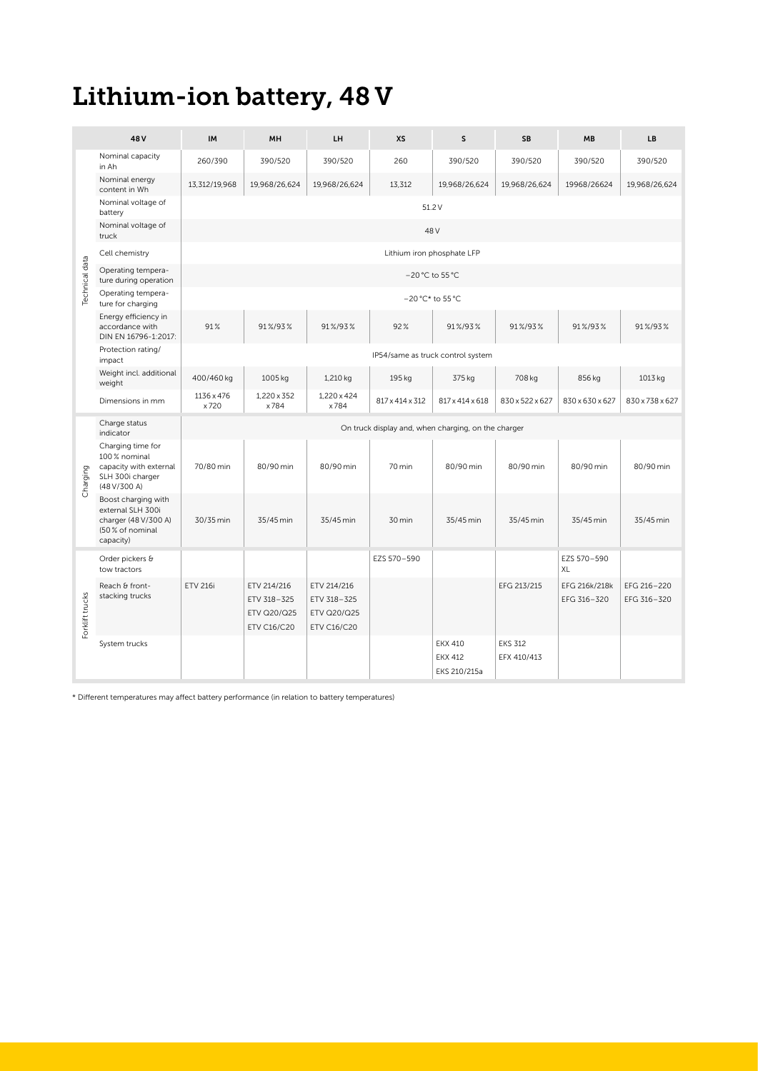## Lithium-ion battery, 48 V

|     | 48 V                                                            | IM                   | <b>MH</b>                         | LH                                | XS          | s.                                                                                      | SB             | MB                                          | LB            |  |
|-----|-----------------------------------------------------------------|----------------------|-----------------------------------|-----------------------------------|-------------|-----------------------------------------------------------------------------------------|----------------|---------------------------------------------|---------------|--|
|     | Nominal capacity<br>in Ah                                       | 260/390              | 390/520                           | 390/520                           | 260         | 390/520                                                                                 | 390/520        | 390/520                                     | 390/520       |  |
|     | Nominal energy<br>content in Wh                                 | 13,312/19,968        | 19,968/26,624                     | 19,968/26,624                     | 13,312      | 19,968/26,624                                                                           | 19,968/26,624  | 19968/26624                                 | 19,968/26,624 |  |
|     | Nominal voltage of                                              |                      |                                   |                                   |             | 51.2 V                                                                                  |                |                                             |               |  |
|     | battery<br>Nominal voltage of                                   |                      |                                   |                                   |             | 48 V                                                                                    |                |                                             |               |  |
|     | truck                                                           |                      |                                   |                                   |             |                                                                                         |                |                                             |               |  |
|     | Cell chemistry                                                  |                      |                                   |                                   |             | Lithium iron phosphate LFP                                                              |                |                                             |               |  |
|     | Operating tempera-<br>ture during operation                     | $-20$ °C to 55 °C    |                                   |                                   |             |                                                                                         |                |                                             |               |  |
|     | Operating tempera-<br>ture for charging                         |                      |                                   |                                   |             | -20 °C* to 55 °C                                                                        |                |                                             |               |  |
|     | Energy efficiency in<br>accordance with<br>DIN EN 16796-1:2017: | 91%                  | 91%/93%                           | 91%/93%                           | 92%         | 91%/93%                                                                                 | 91%/93%        | 91%/93%                                     | 91%/93%       |  |
|     | Protection rating/<br>impact                                    |                      |                                   |                                   |             | IP54/same as truck control system                                                       |                |                                             |               |  |
|     | Weight incl. additional                                         | 400/460 kg           | 1005 kg                           | 1,210 kg                          | 195 kg      | 375 kg                                                                                  | 708 kg         | 856 kg                                      | 1013 kg       |  |
|     | weight<br>Dimensions in mm                                      | 1136 x 476           | 1,220 x 352                       | $1,220 \times 424$                |             | $817 \times 414 \times 312$   $817 \times 414 \times 618$   $830 \times 522 \times 627$ |                | $830 \times 630 \times 627$ 830 x 738 x 627 |               |  |
|     | Charge status                                                   | x720<br>x784<br>x784 |                                   |                                   |             |                                                                                         |                |                                             |               |  |
|     | indicator                                                       |                      |                                   |                                   |             | On truck display and, when charging, on the charger                                     |                |                                             |               |  |
|     | Charging time for<br>100 % nominal                              |                      |                                   |                                   |             |                                                                                         |                |                                             |               |  |
|     | capacity with external<br>SLH 300i charger<br>(48 V/300 A)      | 70/80 min            | 80/90 min                         | 80/90 min                         | 70 min      | 80/90 min                                                                               | 80/90 min      | 80/90 min                                   | 80/90 min     |  |
| ( ) | Boost charging with<br>external SLH 300i                        |                      |                                   |                                   |             |                                                                                         |                |                                             |               |  |
|     | charger (48 V/300 A)<br>(50 % of nominal                        | 30/35 min            | 35/45 min                         | 35/45 min                         | 30 min      | 35/45 min                                                                               | 35/45 min      | 35/45 min                                   | 35/45 min     |  |
|     | capacity)                                                       |                      |                                   |                                   |             |                                                                                         |                |                                             |               |  |
|     | Order pickers &<br>tow tractors                                 |                      |                                   |                                   | EZS 570-590 |                                                                                         |                | EZS 570-590<br>XL                           |               |  |
|     | Reach & front-                                                  | ETV 216i             | ETV 214/216                       | ETV 214/216                       |             |                                                                                         | EFG 213/215    | EFG 216k/218k                               | EFG 216-220   |  |
|     | stacking trucks                                                 |                      | ETV 318-325<br><b>ETV Q20/Q25</b> | ETV 318-325<br><b>ETV Q20/Q25</b> |             |                                                                                         |                | EFG 316-320                                 | EFG 316-320   |  |
|     |                                                                 |                      | <b>ETV C16/C20</b>                | <b>ETV C16/C20</b>                |             |                                                                                         |                |                                             |               |  |
|     | System trucks                                                   |                      |                                   |                                   |             | <b>EKX 410</b>                                                                          | <b>EKS 312</b> |                                             |               |  |
|     |                                                                 |                      |                                   |                                   |             | <b>EKX 412</b><br>EKS 210/215a                                                          | EFX 410/413    |                                             |               |  |

\* Different temperatures may affect battery performance (in relation to battery temperatures)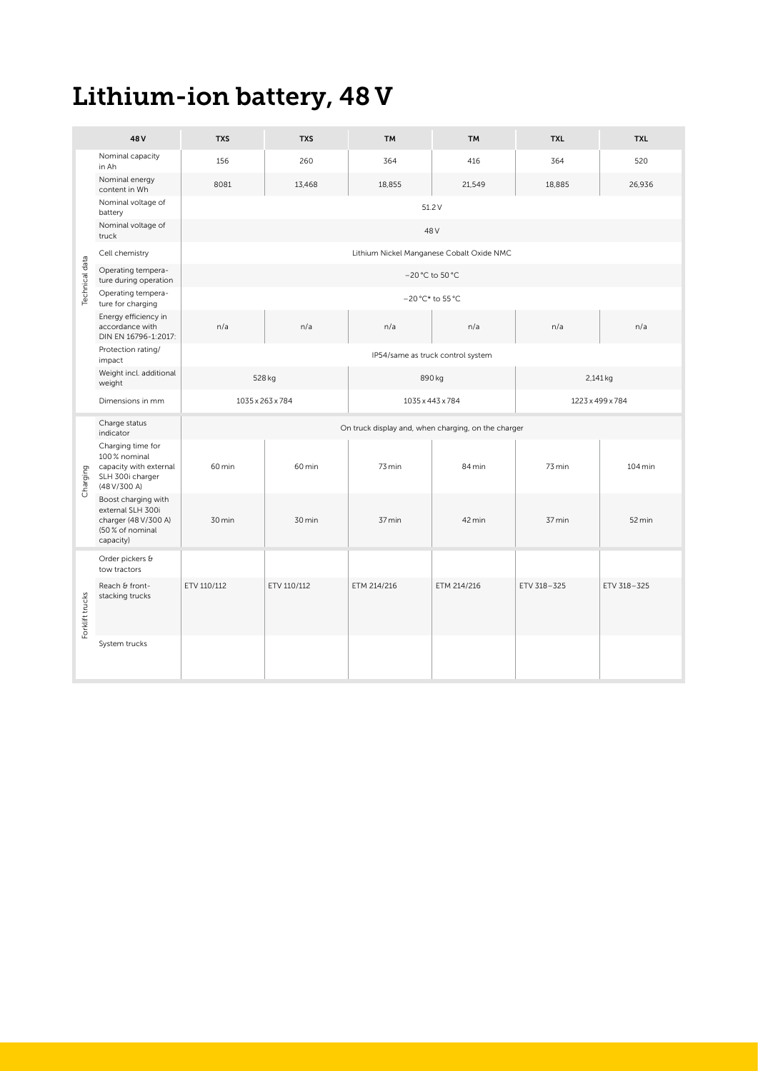# Lithium-ion battery, 48 V

|             | 48 V                                                                                               | <b>TXS</b>       | <b>TXS</b>  | <b>TM</b>                                           | <b>TM</b>                         | <b>TXL</b>       | <b>TXL</b>           |  |
|-------------|----------------------------------------------------------------------------------------------------|------------------|-------------|-----------------------------------------------------|-----------------------------------|------------------|----------------------|--|
|             | Nominal capacity<br>in Ah                                                                          | 156              | 260         | 364                                                 | 416                               | 364              | 520                  |  |
|             | Nominal energy<br>content in Wh                                                                    | 8081             | 13,468      | 18,855                                              | 21,549                            | 18,885           | 26,936               |  |
|             | Nominal voltage of<br>battery                                                                      |                  |             |                                                     | 51.2 V                            |                  |                      |  |
|             | Nominal voltage of<br>truck                                                                        |                  |             |                                                     | 48 V                              |                  |                      |  |
|             | Cell chemistry                                                                                     |                  |             | Lithium Nickel Manganese Cobalt Oxide NMC           |                                   |                  |                      |  |
| data        | Operating tempera-<br>ture during operation                                                        |                  |             |                                                     | -20 °C to 50 °C                   |                  |                      |  |
| டீ          | Operating tempera-<br>ture for charging                                                            | –20 °C* to 55 °C |             |                                                     |                                   |                  |                      |  |
|             | Energy efficiency in<br>accordance with<br>DIN EN 16796-1:2017:                                    | n/a              | n/a         | n/a                                                 | n/a                               | n/a              | n/a                  |  |
|             | Protection rating/<br>impact                                                                       |                  |             |                                                     | IP54/same as truck control system |                  |                      |  |
|             | Weight incl. additional<br>weight                                                                  | 528 kg           |             | 890 kg                                              |                                   | 2,141 kg         |                      |  |
|             | Dimensions in mm                                                                                   | 1035 x 263 x 784 |             | 1035 x 443 x 784                                    |                                   | 1223 x 499 x 784 |                      |  |
|             | Charge status<br>indicator                                                                         |                  |             | On truck display and, when charging, on the charger |                                   |                  |                      |  |
| ig<br>cha   | Charging time for<br>100 % nominal<br>o capacity with external<br>SLH 300i charger<br>(48 V/300 A) | 60 min           | 60 min      | 73 min                                              | 84 min                            | 73 min           | $104 \,\mathrm{min}$ |  |
|             | Boost charging with<br>external SLH 300i<br>charger (48 V/300 A)<br>(50 % of nominal<br>capacity)  | 30 min           | 30 min      | 37 min                                              | 42 min                            | 37 min           | 52 min               |  |
|             | Order pickers &<br>tow tractors                                                                    |                  |             |                                                     |                                   |                  |                      |  |
| ¥<br>rklift | Reach & front-<br>stacking trucks                                                                  | ETV 110/112      | ETV 110/112 | ETM 214/216                                         | ETM 214/216                       | ETV 318-325      | ETV 318-325          |  |
|             | System trucks                                                                                      |                  |             |                                                     |                                   |                  |                      |  |